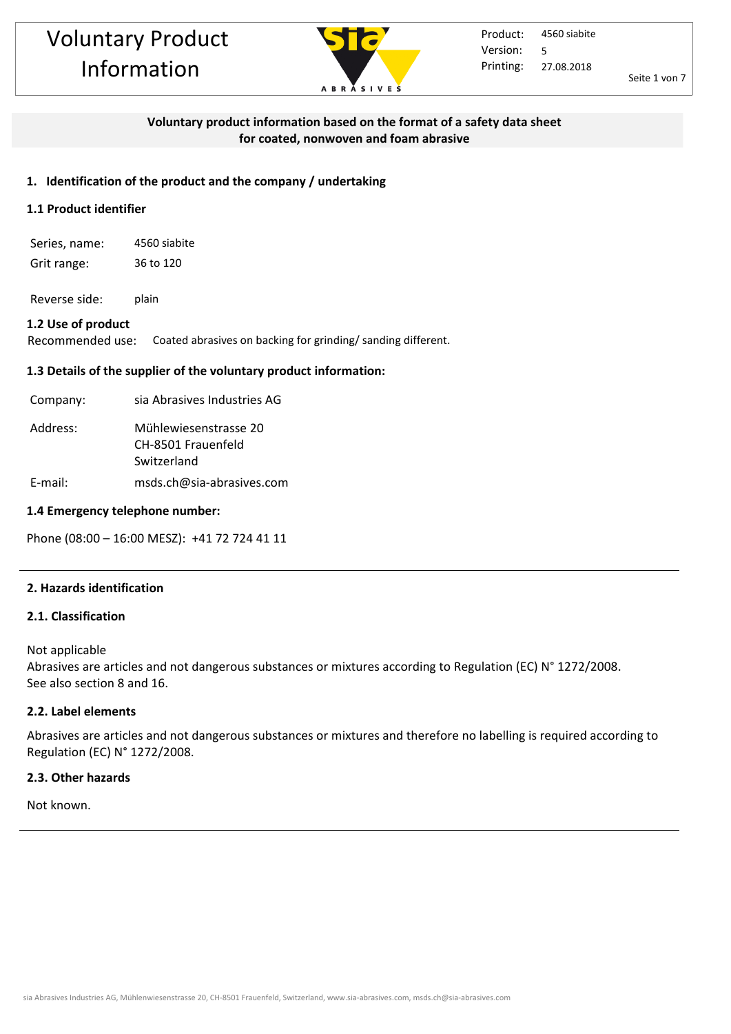

Seite 1 von 7

## **Voluntary product information based on the format of a safety data sheet for coated, nonwoven and foam abrasive**

## **1. Identification of the product and the company / undertaking**

## **1.1 Product identifier**

Series, name: 4560 siabite Grit range: 36 to 120

Reverse side: plain

#### **1.2 Use of product**

Recommended use: Coated abrasives on backing for grinding/ sanding different.

## **1.3 Details of the supplier of the voluntary product information:**

| Company: | sia Abrasives Industries AG                                |
|----------|------------------------------------------------------------|
| Address: | Mühlewiesenstrasse 20<br>CH-8501 Frauenfeld<br>Switzerland |

E-mail: msds.ch@sia-abrasives.com

#### **1.4 Emergency telephone number:**

Phone (08:00 – 16:00 MESZ): +41 72 724 41 11

#### **2. Hazards identification**

#### **2.1. Classification**

Not applicable

Abrasives are articles and not dangerous substances or mixtures according to Regulation (EC) N° 1272/2008. See also section 8 and 16.

#### **2.2. Label elements**

Abrasives are articles and not dangerous substances or mixtures and therefore no labelling is required according to Regulation (EC) N° 1272/2008.

#### **2.3. Other hazards**

Not known.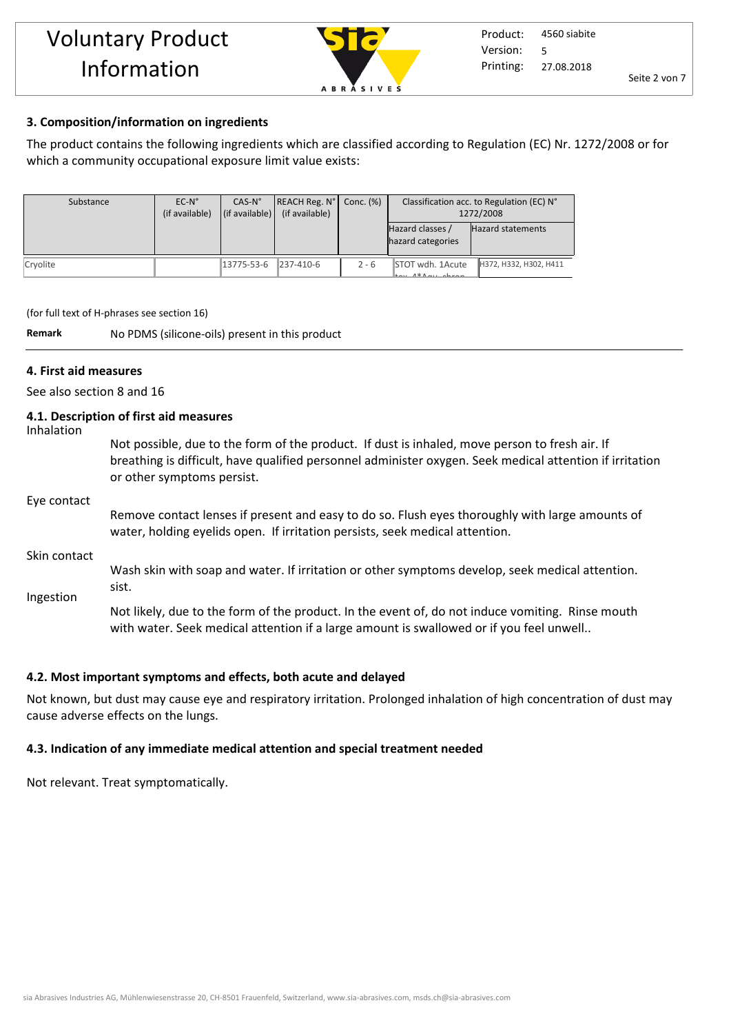

# **3. Composition/information on ingredients**

The product contains the following ingredients which are classified according to Regulation (EC) Nr. 1272/2008 or for which a community occupational exposure limit value exists:

| Substance | $EC-N^{\circ}$<br>(if available) | $CAS-N°$<br>(if available) | REACH Reg. N°<br>(if available) | Conc. (%) | Classification acc. to Regulation (EC) N°<br>1272/2008 |                          |
|-----------|----------------------------------|----------------------------|---------------------------------|-----------|--------------------------------------------------------|--------------------------|
|           |                                  |                            |                                 |           | Hazard classes /<br>hazard categories                  | <b>Hazard statements</b> |
| Cryolite  |                                  | 13775-53-6                 | $ 237-410-6 $                   | $2 - 6$   | STOT wdh. 1Acute<br>$tan 1*1$                          | H372, H332, H302, H411   |

(for full text of H-phrases see section 16)

**Remark** No PDMS (silicone-oils) present in this product

## **4. First aid measures**

See also section 8 and 16

# **4.1. Description of first aid measures**

| Inhalation   |                                                                                                                                                                                                                                          |
|--------------|------------------------------------------------------------------------------------------------------------------------------------------------------------------------------------------------------------------------------------------|
|              | Not possible, due to the form of the product. If dust is inhaled, move person to fresh air. If<br>breathing is difficult, have qualified personnel administer oxygen. Seek medical attention if irritation<br>or other symptoms persist. |
| Eye contact  |                                                                                                                                                                                                                                          |
|              | Remove contact lenses if present and easy to do so. Flush eyes thoroughly with large amounts of<br>water, holding eyelids open. If irritation persists, seek medical attention.                                                          |
| Skin contact |                                                                                                                                                                                                                                          |
| Ingestion    | Wash skin with soap and water. If irritation or other symptoms develop, seek medical attention.<br>sist.                                                                                                                                 |
|              | Not likely, due to the form of the product. In the event of, do not induce vomiting. Rinse mouth<br>with water. Seek medical attention if a large amount is swallowed or if you feel unwell                                              |

#### **4.2. Most important symptoms and effects, both acute and delayed**

Not known, but dust may cause eye and respiratory irritation. Prolonged inhalation of high concentration of dust may cause adverse effects on the lungs.

# **4.3. Indication of any immediate medical attention and special treatment needed**

Not relevant. Treat symptomatically.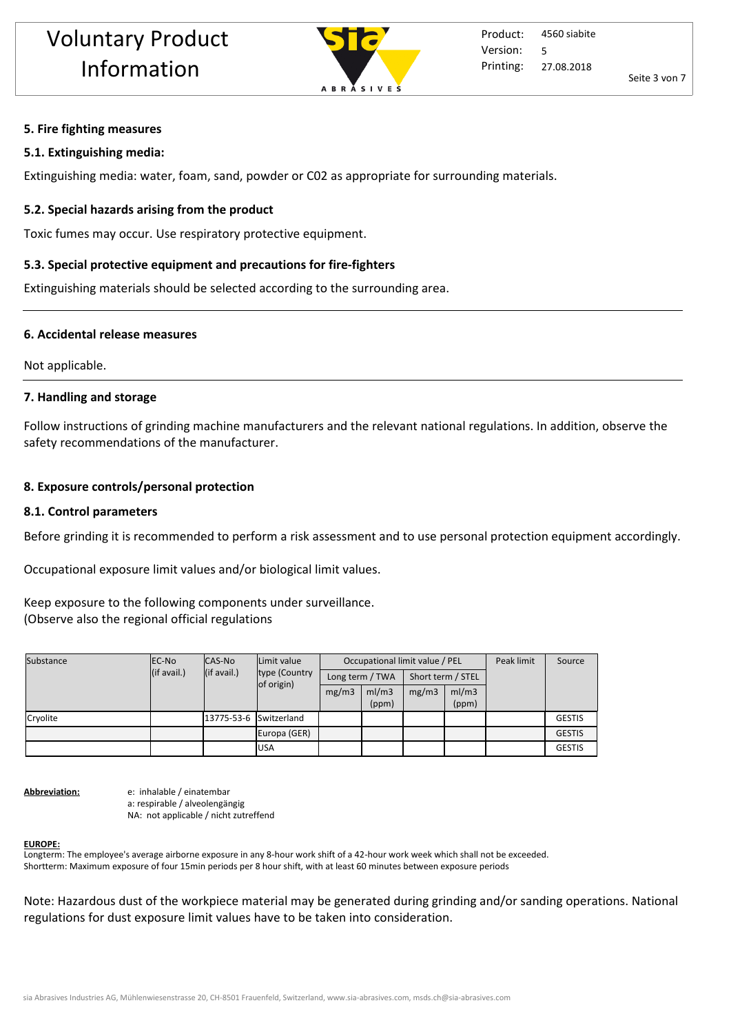

## **5. Fire fighting measures**

## **5.1. Extinguishing media:**

Extinguishing media: water, foam, sand, powder or C02 as appropriate for surrounding materials.

# **5.2. Special hazards arising from the product**

Toxic fumes may occur. Use respiratory protective equipment.

# **5.3. Special protective equipment and precautions for fire-fighters**

Extinguishing materials should be selected according to the surrounding area.

## **6. Accidental release measures**

Not applicable.

## **7. Handling and storage**

Follow instructions of grinding machine manufacturers and the relevant national regulations. In addition, observe the safety recommendations of the manufacturer.

## **8. Exposure controls/personal protection**

#### **8.1. Control parameters**

Before grinding it is recommended to perform a risk assessment and to use personal protection equipment accordingly.

Occupational exposure limit values and/or biological limit values.

Keep exposure to the following components under surveillance. (Observe also the regional official regulations

| Substance | <b>EC-No</b> | CAS-No                 | Limit value<br>type (Country | Occupational limit value / PEL |       |                   |       | Peak limit | Source        |
|-----------|--------------|------------------------|------------------------------|--------------------------------|-------|-------------------|-------|------------|---------------|
|           | (if avail.)  | (if avail.)            |                              | Long term / TWA                |       | Short term / STEL |       |            |               |
|           | of origin)   |                        | mg/m3                        | ml/m3                          | mg/m3 | ml/m3             |       |            |               |
|           |              |                        |                              |                                | (ppm) |                   | (ppm) |            |               |
| Cryolite  |              | 13775-53-6 Switzerland |                              |                                |       |                   |       |            | <b>GESTIS</b> |
|           |              |                        | Europa (GER)                 |                                |       |                   |       |            | <b>GESTIS</b> |
|           |              |                        | <b>USA</b>                   |                                |       |                   |       |            | <b>GESTIS</b> |

**Abbreviation:** e: inhalable / einatembar a: respirable / alveolengängig NA: not applicable / nicht zutreffend

#### **EUROPE:**

Longterm: The employee's average airborne exposure in any 8-hour work shift of a 42-hour work week which shall not be exceeded. Shortterm: Maximum exposure of four 15min periods per 8 hour shift, with at least 60 minutes between exposure periods

Note: Hazardous dust of the workpiece material may be generated during grinding and/or sanding operations. National regulations for dust exposure limit values have to be taken into consideration.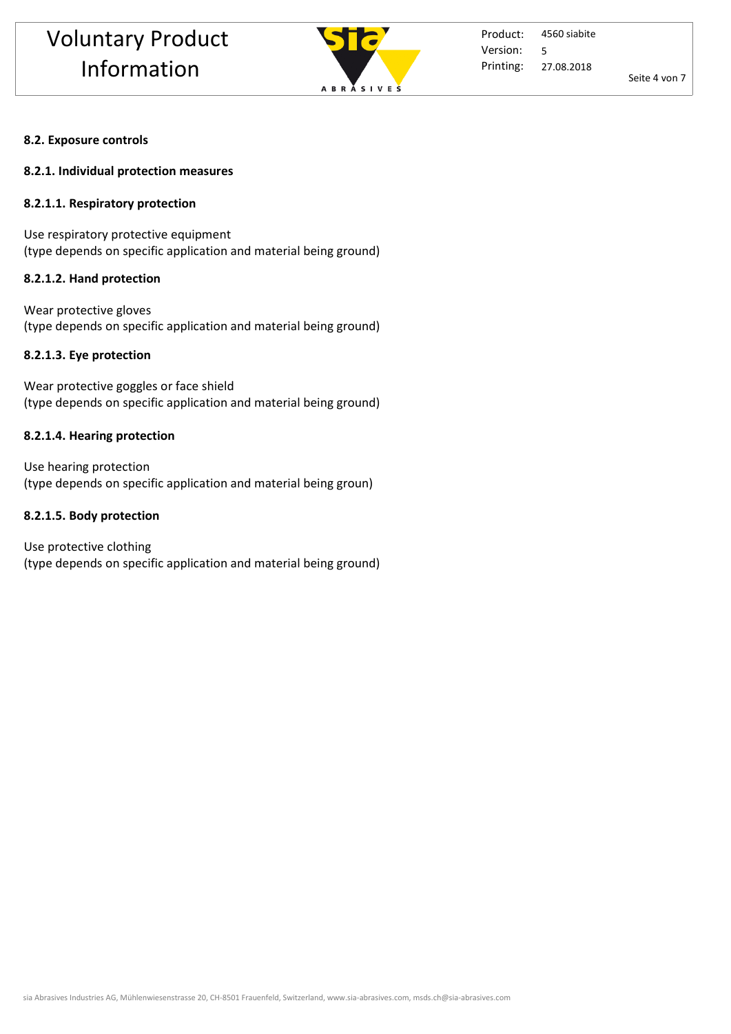

Product: Printing: 4560 siabite 27.08.2018 Version: 5

Seite 4 von 7

#### **8.2. Exposure controls**

#### **8.2.1. Individual protection measures**

#### **8.2.1.1. Respiratory protection**

Use respiratory protective equipment (type depends on specific application and material being ground)

#### **8.2.1.2. Hand protection**

Wear protective gloves (type depends on specific application and material being ground)

#### **8.2.1.3. Eye protection**

Wear protective goggles or face shield (type depends on specific application and material being ground)

#### **8.2.1.4. Hearing protection**

Use hearing protection (type depends on specific application and material being groun)

#### **8.2.1.5. Body protection**

Use protective clothing (type depends on specific application and material being ground)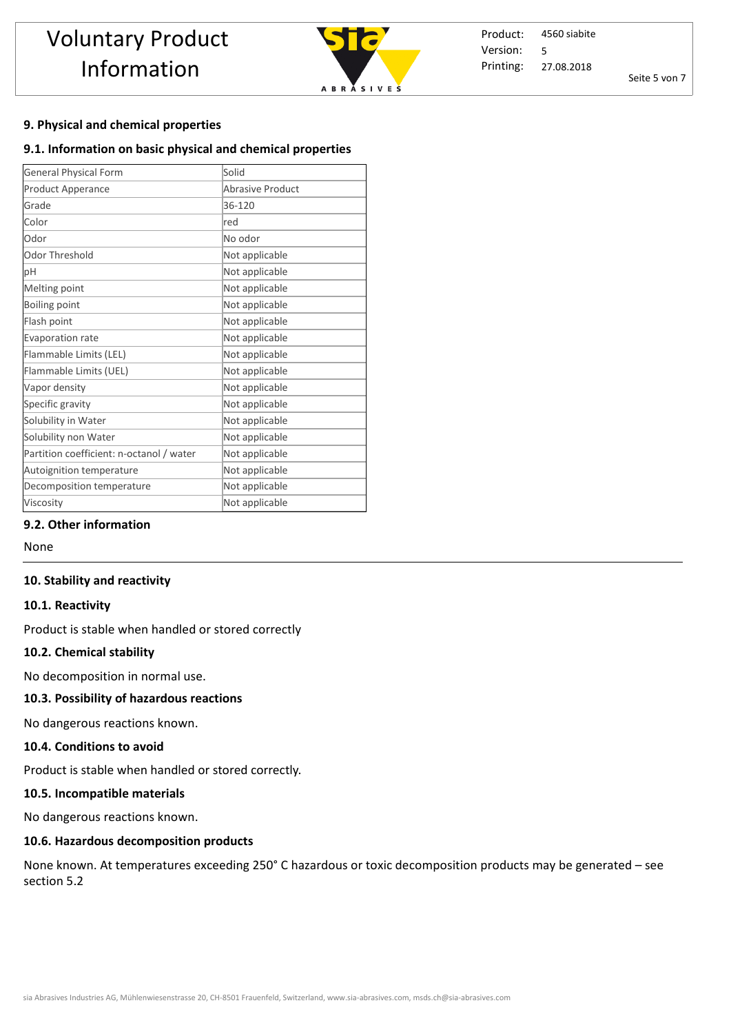

Product: Printing: 4560 siabite 27.08.2018 Version: 5

Seite 5 von 7

## **9. Physical and chemical properties**

## **9.1. Information on basic physical and chemical properties**

| <b>General Physical Form</b>             | Solid                   |
|------------------------------------------|-------------------------|
| <b>Product Apperance</b>                 | <b>Abrasive Product</b> |
| Grade                                    | 36-120                  |
| Color                                    | red                     |
| Odor                                     | No odor                 |
| Odor Threshold                           | Not applicable          |
| pH                                       | Not applicable          |
| Melting point                            | Not applicable          |
| Boiling point                            | Not applicable          |
| Flash point                              | Not applicable          |
| Evaporation rate                         | Not applicable          |
| Flammable Limits (LEL)                   | Not applicable          |
| Flammable Limits (UEL)                   | Not applicable          |
| Vapor density                            | Not applicable          |
| Specific gravity                         | Not applicable          |
| Solubility in Water                      | Not applicable          |
| Solubility non Water                     | Not applicable          |
| Partition coefficient: n-octanol / water | Not applicable          |
| Autoignition temperature                 | Not applicable          |
| Decomposition temperature                | Not applicable          |
| Viscosity                                | Not applicable          |

#### **9.2. Other information**

None

#### **10. Stability and reactivity**

#### **10.1. Reactivity**

Product is stable when handled or stored correctly

#### **10.2. Chemical stability**

No decomposition in normal use.

#### **10.3. Possibility of hazardous reactions**

No dangerous reactions known.

#### **10.4. Conditions to avoid**

Product is stable when handled or stored correctly. 

#### **10.5. Incompatible materials**

No dangerous reactions known.

#### **10.6. Hazardous decomposition products**

None known. At temperatures exceeding 250° C hazardous or toxic decomposition products may be generated – see section 5.2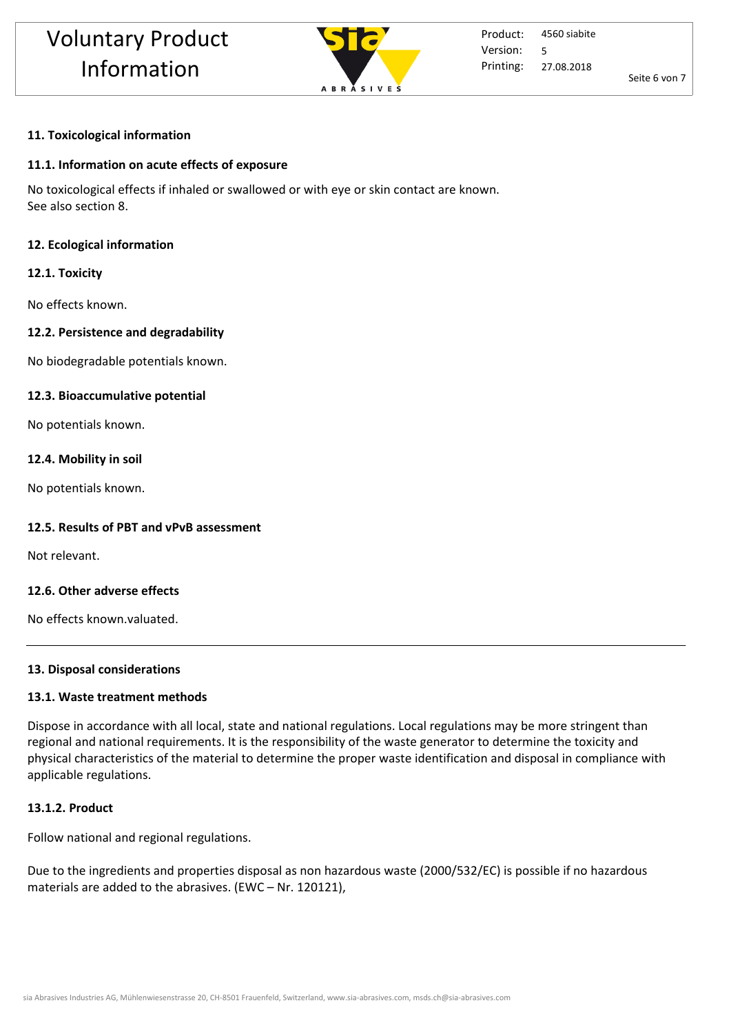

Seite 6 von 7

# **11. Toxicological information**

## **11.1. Information on acute effects of exposure**

No toxicological effects if inhaled or swallowed or with eye or skin contact are known. See also section 8.

## **12. Ecological information**

## **12.1. Toxicity**

No effects known.

# **12.2. Persistence and degradability**

No biodegradable potentials known.

## **12.3. Bioaccumulative potential**

No potentials known.

## **12.4. Mobility in soil**

No potentials known.

# **12.5. Results of PBT and vPvB assessment**

Not relevant.

## **12.6. Other adverse effects**

No effects known.valuated.

## **13. Disposal considerations**

## **13.1. Waste treatment methods**

Dispose in accordance with all local, state and national regulations. Local regulations may be more stringent than regional and national requirements. It is the responsibility of the waste generator to determine the toxicity and physical characteristics of the material to determine the proper waste identification and disposal in compliance with applicable regulations.

# **13.1.2. Product**

Follow national and regional regulations.

Due to the ingredients and properties disposal as non hazardous waste (2000/532/EC) is possible if no hazardous materials are added to the abrasives. (EWC – Nr. 120121),